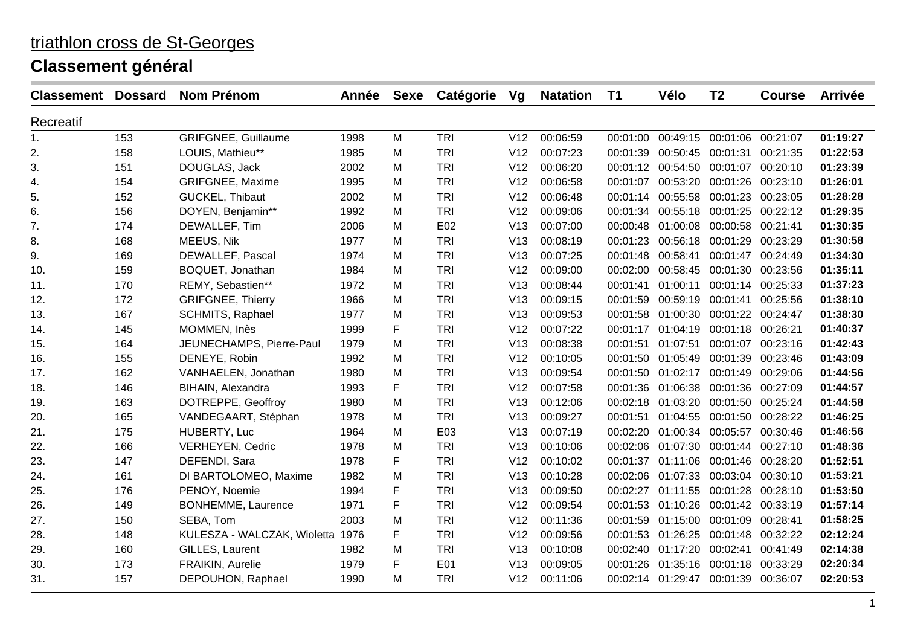| <b>Classement</b> | <b>Dossard</b> | <b>Nom Prénom</b>                | <b>Année</b> | <b>Sexe</b> | Catégorie  | Vg              | <b>Natation</b> | T1       | Vélo                                   | T <sub>2</sub>             | <b>Course</b> | <b>Arrivée</b> |
|-------------------|----------------|----------------------------------|--------------|-------------|------------|-----------------|-----------------|----------|----------------------------------------|----------------------------|---------------|----------------|
| Recreatif         |                |                                  |              |             |            |                 |                 |          |                                        |                            |               |                |
| 1.                | 153            | <b>GRIFGNEE, Guillaume</b>       | 1998         | M           | <b>TRI</b> | V12             | 00:06:59        | 00:01:00 |                                        | 00:49:15 00:01:06 00:21:07 |               | 01:19:27       |
| 2.                | 158            | LOUIS, Mathieu**                 | 1985         | M           | <b>TRI</b> | V12             | 00:07:23        | 00:01:39 | 00:50:45 00:01:31                      |                            | 00:21:35      | 01:22:53       |
| 3.                | 151            | DOUGLAS, Jack                    | 2002         | M           | <b>TRI</b> | V12             | 00:06:20        |          | 00:01:12 00:54:50 00:01:07             |                            | 00:20:10      | 01:23:39       |
| 4.                | 154            | <b>GRIFGNEE, Maxime</b>          | 1995         | M           | <b>TRI</b> | V12             | 00:06:58        | 00:01:07 |                                        | 00:53:20 00:01:26 00:23:10 |               | 01:26:01       |
| 5.                | 152            | GUCKEL, Thibaut                  | 2002         | M           | <b>TRI</b> | V12             | 00:06:48        | 00:01:14 | 00:55:58 00:01:23 00:23:05             |                            |               | 01:28:28       |
| 6.                | 156            | DOYEN, Benjamin**                | 1992         | M           | <b>TRI</b> | V12             | 00:09:06        |          | 00:01:34 00:55:18 00:01:25             |                            | 00:22:12      | 01:29:35       |
| 7.                | 174            | DEWALLEF, Tim                    | 2006         | M           | E02        | V13             | 00:07:00        | 00:00:48 | 01:00:08 00:00:58 00:21:41             |                            |               | 01:30:35       |
| 8.                | 168            | MEEUS, Nik                       | 1977         | М           | <b>TRI</b> | V13             | 00:08:19        | 00:01:23 | 00:56:18 00:01:29                      |                            | 00:23:29      | 01:30:58       |
| 9.                | 169            | DEWALLEF, Pascal                 | 1974         | M           | <b>TRI</b> | V13             | 00:07:25        | 00:01:48 | 00:58:41                               | 00:01:47 00:24:49          |               | 01:34:30       |
| 10.               | 159            | BOQUET, Jonathan                 | 1984         | M           | <b>TRI</b> | V12             | 00:09:00        | 00:02:00 |                                        | 00:58:45 00:01:30 00:23:56 |               | 01:35:11       |
| 11.               | 170            | REMY, Sebastien**                | 1972         | М           | <b>TRI</b> | V13             | 00:08:44        | 00:01:41 | 01:00:11                               | 00:01:14 00:25:33          |               | 01:37:23       |
| 12.               | 172            | <b>GRIFGNEE, Thierry</b>         | 1966         | M           | <b>TRI</b> | V13             | 00:09:15        | 00:01:59 | 00:59:19 00:01:41                      |                            | 00:25:56      | 01:38:10       |
| 13.               | 167            | SCHMITS, Raphael                 | 1977         | M           | <b>TRI</b> | V13             | 00:09:53        |          | 00:01:58 01:00:30 00:01:22 00:24:47    |                            |               | 01:38:30       |
| 14.               | 145            | MOMMEN, Inès                     | 1999         | F           | <b>TRI</b> | V12             | 00:07:22        | 00:01:17 |                                        | 01:04:19 00:01:18 00:26:21 |               | 01:40:37       |
| 15.               | 164            | JEUNECHAMPS, Pierre-Paul         | 1979         | M           | <b>TRI</b> | V13             | 00:08:38        | 00:01:51 | 01:07:51                               | 00:01:07 00:23:16          |               | 01:42:43       |
| 16.               | 155            | DENEYE, Robin                    | 1992         | M           | <b>TRI</b> | V12             | 00:10:05        |          | 00:01:50 01:05:49 00:01:39 00:23:46    |                            |               | 01:43:09       |
| 17.               | 162            | VANHAELEN, Jonathan              | 1980         | M           | <b>TRI</b> | V13             | 00:09:54        |          | 00:01:50 01:02:17 00:01:49             |                            | 00:29:06      | 01:44:56       |
| 18.               | 146            | BIHAIN, Alexandra                | 1993         | F           | <b>TRI</b> | V12             | 00:07:58        |          | 00:01:36 01:06:38 00:01:36 00:27:09    |                            |               | 01:44:57       |
| 19.               | 163            | DOTREPPE, Geoffroy               | 1980         | М           | <b>TRI</b> | V13             | 00:12:06        |          | 00:02:18 01:03:20 00:01:50 00:25:24    |                            |               | 01:44:58       |
| 20.               | 165            | VANDEGAART, Stéphan              | 1978         | М           | <b>TRI</b> | V13             | 00:09:27        | 00:01:51 |                                        | 01:04:55 00:01:50 00:28:22 |               | 01:46:25       |
| 21.               | 175            | HUBERTY, Luc                     | 1964         | M           | E03        | V13             | 00:07:19        |          | 00:02:20 01:00:34 00:05:57             |                            | 00:30:46      | 01:46:56       |
| 22.               | 166            | <b>VERHEYEN, Cedric</b>          | 1978         | M           | <b>TRI</b> | V13             | 00:10:06        |          | 00:02:06 01:07:30 00:01:44 00:27:10    |                            |               | 01:48:36       |
| 23.               | 147            | DEFENDI, Sara                    | 1978         | F           | <b>TRI</b> | V12             | 00:10:02        |          | 00:01:37  01:11:06  00:01:46  00:28:20 |                            |               | 01:52:51       |
| 24.               | 161            | DI BARTOLOMEO, Maxime            | 1982         | M           | <b>TRI</b> | V13             | 00:10:28        |          | 00:02:06 01:07:33 00:03:04 00:30:10    |                            |               | 01:53:21       |
| 25.               | 176            | PENOY, Noemie                    | 1994         | F           | <b>TRI</b> | V13             | 00:09:50        | 00:02:27 | 01:11:55 00:01:28                      |                            | 00:28:10      | 01:53:50       |
| 26.               | 149            | BONHEMME, Laurence               | 1971         | F           | <b>TRI</b> | V <sub>12</sub> | 00:09:54        | 00:01:53 | 01:10:26 00:01:42 00:33:19             |                            |               | 01:57:14       |
| 27.               | 150            | SEBA, Tom                        | 2003         | M           | <b>TRI</b> | V12             | 00:11:36        |          | 00:01:59  01:15:00  00:01:09  00:28:41 |                            |               | 01:58:25       |
| 28.               | 148            | KULESZA - WALCZAK, Wioletta 1976 |              | F           | <b>TRI</b> | V12             | 00:09:56        |          | 00:01:53 01:26:25 00:01:48             |                            | 00:32:22      | 02:12:24       |
| 29.               | 160            | GILLES, Laurent                  | 1982         | M           | <b>TRI</b> | V13             | 00:10:08        |          | 00:02:40  01:17:20  00:02:41           |                            | 00:41:49      | 02:14:38       |
| 30.               | 173            | FRAIKIN, Aurelie                 | 1979         | F           | E01        | V13             | 00:09:05        | 00:01:26 | 01:35:16 00:01:18                      |                            | 00:33:29      | 02:20:34       |
| 31.               | 157            | DEPOUHON, Raphael                | 1990         | М           | <b>TRI</b> | V12             | 00:11:06        |          | 00:02:14 01:29:47 00:01:39 00:36:07    |                            |               | 02:20:53       |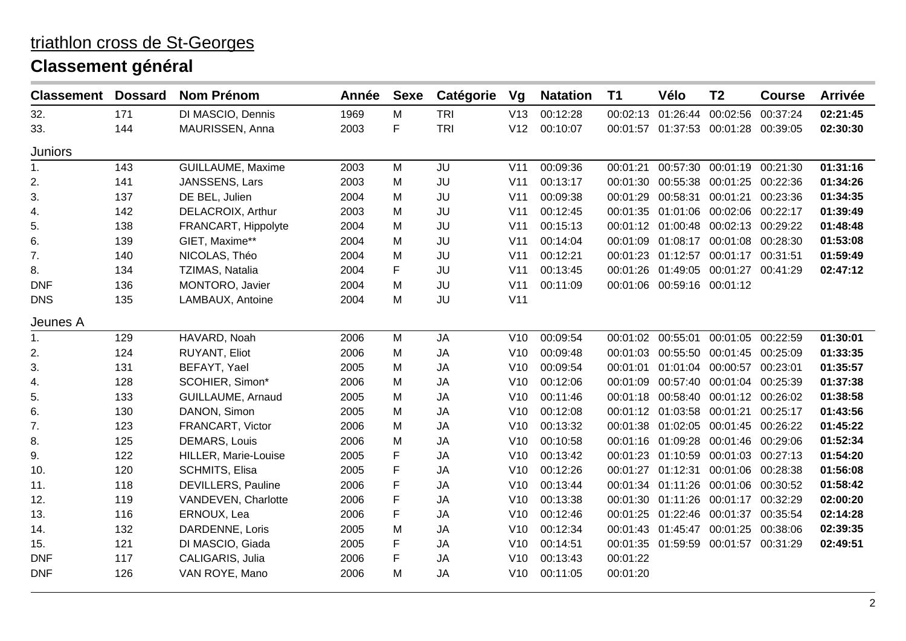| <b>Classement</b> | <b>Dossard</b> | <b>Nom Prénom</b>         | Année | <b>Sexe</b> | Catégorie  | Vg              | <b>Natation</b> | T <sub>1</sub> | Vélo                         | T <sub>2</sub>                         | <b>Course</b> | <b>Arrivée</b> |
|-------------------|----------------|---------------------------|-------|-------------|------------|-----------------|-----------------|----------------|------------------------------|----------------------------------------|---------------|----------------|
| 32.               | 171            | DI MASCIO, Dennis         | 1969  | M           | <b>TRI</b> | V13             | 00:12:28        | 00:02:13       | 01:26:44                     | 00:02:56                               | 00:37:24      | 02:21:45       |
| 33.               | 144            | MAURISSEN, Anna           | 2003  | F           | <b>TRI</b> | V12             | 00:10:07        |                |                              | 00:01:57 01:37:53 00:01:28 00:39:05    |               | 02:30:30       |
| <b>Juniors</b>    |                |                           |       |             |            |                 |                 |                |                              |                                        |               |                |
| 1.                | 143            | GUILLAUME, Maxime         | 2003  | M           | JU         | V11             | 00:09:36        | 00:01:21       |                              | 00:57:30 00:01:19                      | 00:21:30      | 01:31:16       |
| 2.                | 141            | JANSSENS, Lars            | 2003  | M           | JU         | V <sub>11</sub> | 00:13:17        | 00:01:30       |                              | 00:55:38 00:01:25 00:22:36             |               | 01:34:26       |
| 3.                | 137            | DE BEL, Julien            | 2004  | М           | JU         | V <sub>11</sub> | 00:09:38        | 00:01:29       |                              | 00:58:31 00:01:21                      | 00:23:36      | 01:34:35       |
| 4.                | 142            | DELACROIX, Arthur         | 2003  | M           | JU         | V <sub>11</sub> | 00:12:45        |                |                              | 00:01:35 01:01:06 00:02:06 00:22:17    |               | 01:39:49       |
| 5.                | 138            | FRANCART, Hippolyte       | 2004  | M           | JU         | V <sub>11</sub> | 00:15:13        |                |                              | 00:01:12 01:00:48 00:02:13 00:29:22    |               | 01:48:48       |
| 6.                | 139            | GIET, Maxime**            | 2004  | M           | JU         | V <sub>11</sub> | 00:14:04        |                |                              | 00:01:09  01:08:17  00:01:08  00:28:30 |               | 01:53:08       |
| 7.                | 140            | NICOLAS, Théo             | 2004  | M           | JU         | V <sub>11</sub> | 00:12:21        |                |                              | 00:01:23 01:12:57 00:01:17 00:31:51    |               | 01:59:49       |
| 8.                | 134            | TZIMAS, Natalia           | 2004  | F           | JU         | V <sub>11</sub> | 00:13:45        |                |                              | 00:01:26 01:49:05 00:01:27 00:41:29    |               | 02:47:12       |
| <b>DNF</b>        | 136            | MONTORO, Javier           | 2004  | M           | JU         | V <sub>11</sub> | 00:11:09        |                | 00:01:06 00:59:16 00:01:12   |                                        |               |                |
| <b>DNS</b>        | 135            | LAMBAUX, Antoine          | 2004  | M           | JU         | V11             |                 |                |                              |                                        |               |                |
| Jeunes A          |                |                           |       |             |            |                 |                 |                |                              |                                        |               |                |
| 1.                | 129            | HAVARD, Noah              | 2006  | M           | <b>JA</b>  | V10             | 00:09:54        | 00:01:02       | 00:55:01 00:01:05            |                                        | 00:22:59      | 01:30:01       |
| 2.                | 124            | RUYANT, Eliot             | 2006  | M           | <b>JA</b>  | V10             | 00:09:48        | 00:01:03       |                              | 00:55:50 00:01:45 00:25:09             |               | 01:33:35       |
| 3.                | 131            | BEFAYT, Yael              | 2005  | М           | <b>JA</b>  | V10             | 00:09:54        | 00:01:01       | 01:01:04 00:00:57            |                                        | 00:23:01      | 01:35:57       |
| 4.                | 128            | SCOHIER, Simon*           | 2006  | M           | <b>JA</b>  | V10             | 00:12:06        | 00:01:09       |                              | 00:57:40 00:01:04 00:25:39             |               | 01:37:38       |
| 5.                | 133            | GUILLAUME, Arnaud         | 2005  | M           | <b>JA</b>  | V10             | 00:11:46        | 00:01:18       |                              | 00:58:40 00:01:12 00:26:02             |               | 01:38:58       |
| 6.                | 130            | DANON, Simon              | 2005  | М           | <b>JA</b>  | V10             | 00:12:08        | 00:01:12       |                              | 01:03:58 00:01:21 00:25:17             |               | 01:43:56       |
| 7.                | 123            | FRANCART, Victor          | 2006  | M           | <b>JA</b>  | V10             | 00:13:32        |                |                              | 00:01:38 01:02:05 00:01:45 00:26:22    |               | 01:45:22       |
| 8.                | 125            | <b>DEMARS, Louis</b>      | 2006  | M           | <b>JA</b>  | V10             | 00:10:58        |                |                              | 00:01:16 01:09:28 00:01:46 00:29:06    |               | 01:52:34       |
| 9.                | 122            | HILLER, Marie-Louise      | 2005  | F           | <b>JA</b>  | V10             | 00:13:42        |                |                              | 00:01:23 01:10:59 00:01:03 00:27:13    |               | 01:54:20       |
| 10.               | 120            | SCHMITS, Elisa            | 2005  | F           | <b>JA</b>  | V10             | 00:12:26        | 00:01:27       | 01:12:31 00:01:06            |                                        | 00:28:38      | 01:56:08       |
| 11.               | 118            | <b>DEVILLERS, Pauline</b> | 2006  | F           | <b>JA</b>  | V10             | 00:13:44        |                | 00:01:34  01:11:26  00:01:06 |                                        | 00:30:52      | 01:58:42       |
| 12.               | 119            | VANDEVEN, Charlotte       | 2006  | F           | <b>JA</b>  | V10             | 00:13:38        |                |                              | 00:01:30 01:11:26 00:01:17 00:32:29    |               | 02:00:20       |
| 13.               | 116            | ERNOUX, Lea               | 2006  | F           | <b>JA</b>  | V10             | 00:12:46        |                | 00:01:25 01:22:46 00:01:37   |                                        | 00:35:54      | 02:14:28       |
| 14.               | 132            | DARDENNE, Loris           | 2005  | M           | <b>JA</b>  | V10             | 00:12:34        |                | 00:01:43 01:45:47 00:01:25   |                                        | 00:38:06      | 02:39:35       |
| 15.               | 121            | DI MASCIO, Giada          | 2005  | F           | <b>JA</b>  | V10             | 00:14:51        |                |                              | 00:01:35  01:59:59  00:01:57  00:31:29 |               | 02:49:51       |
| <b>DNF</b>        | 117            | CALIGARIS, Julia          | 2006  | F           | <b>JA</b>  | V10             | 00:13:43        | 00:01:22       |                              |                                        |               |                |
| <b>DNF</b>        | 126            | VAN ROYE, Mano            | 2006  | М           | <b>JA</b>  | V10             | 00:11:05        | 00:01:20       |                              |                                        |               |                |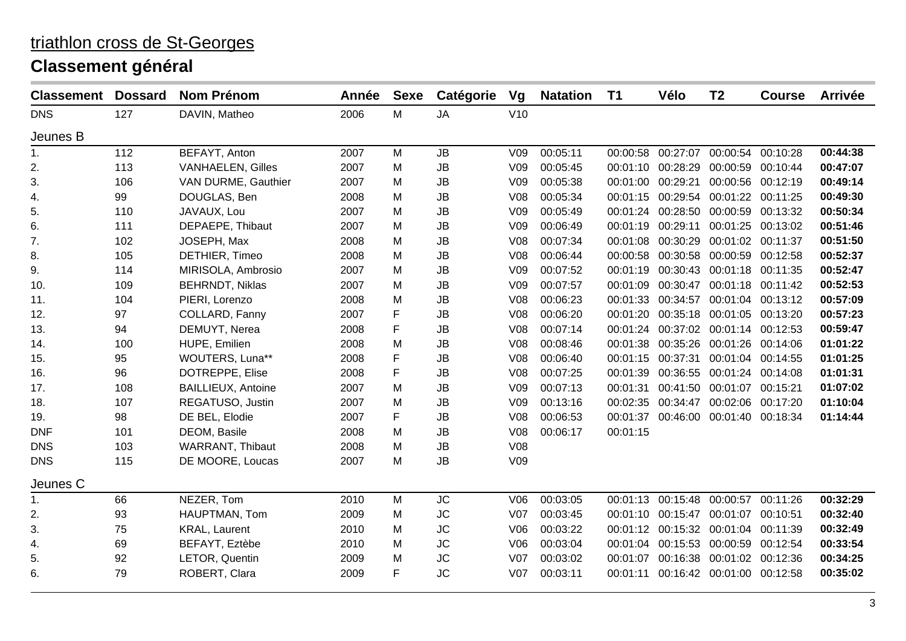| <b>Classement</b> | <b>Dossard</b> | <b>Nom Prénom</b>         | Année | <b>Sexe</b> | Catégorie | Vg              | <b>Natation</b> | <b>T1</b> | Vélo              | T <sub>2</sub>                      | <b>Course</b> | <b>Arrivée</b> |
|-------------------|----------------|---------------------------|-------|-------------|-----------|-----------------|-----------------|-----------|-------------------|-------------------------------------|---------------|----------------|
| <b>DNS</b>        | 127            | DAVIN, Matheo             | 2006  | M           | <b>JA</b> | V10             |                 |           |                   |                                     |               |                |
| Jeunes B          |                |                           |       |             |           |                 |                 |           |                   |                                     |               |                |
| 1.                | 112            | BEFAYT, Anton             | 2007  | M           | <b>JB</b> | V <sub>09</sub> | 00:05:11        |           |                   | 00:00:58 00:27:07 00:00:54 00:10:28 |               | 00:44:38       |
| 2.                | 113            | <b>VANHAELEN, Gilles</b>  | 2007  | M           | JB        | V09             | 00:05:45        | 00:01:10  |                   | 00:28:29 00:00:59 00:10:44          |               | 00:47:07       |
| 3.                | 106            | VAN DURME, Gauthier       | 2007  | M           | JB        | V09             | 00:05:38        | 00:01:00  | 00:29:21          | 00:00:56 00:12:19                   |               | 00:49:14       |
| 4.                | 99             | DOUGLAS, Ben              | 2008  | м           | <b>JB</b> | V <sub>08</sub> | 00:05:34        |           |                   | 00:01:15 00:29:54 00:01:22 00:11:25 |               | 00:49:30       |
| 5.                | 110            | JAVAUX, Lou               | 2007  | M           | JB        | V09             | 00:05:49        |           |                   | 00:01:24 00:28:50 00:00:59 00:13:32 |               | 00:50:34       |
| 6.                | 111            | DEPAEPE, Thibaut          | 2007  | M           | <b>JB</b> | V09             | 00:06:49        | 00:01:19  | 00:29:11          | 00:01:25 00:13:02                   |               | 00:51:46       |
| 7.                | 102            | JOSEPH, Max               | 2008  | М           | JB        | V08             | 00:07:34        | 00:01:08  |                   | 00:30:29 00:01:02 00:11:37          |               | 00:51:50       |
| 8.                | 105            | DETHIER, Timeo            | 2008  | M           | JB        | V <sub>08</sub> | 00:06:44        | 00:00:58  |                   | 00:30:58 00:00:59 00:12:58          |               | 00:52:37       |
| 9.                | 114            | MIRISOLA, Ambrosio        | 2007  | м           | <b>JB</b> | V <sub>09</sub> | 00:07:52        | 00:01:19  |                   | 00:30:43 00:01:18 00:11:35          |               | 00:52:47       |
| 10.               | 109            | <b>BEHRNDT, Niklas</b>    | 2007  | м           | JB        | V09             | 00:07:57        | 00:01:09  |                   | 00:30:47 00:01:18 00:11:42          |               | 00:52:53       |
| 11.               | 104            | PIERI, Lorenzo            | 2008  | M           | <b>JB</b> | V08             | 00:06:23        | 00:01:33  |                   | 00:34:57 00:01:04 00:13:12          |               | 00:57:09       |
| 12.               | 97             | COLLARD, Fanny            | 2007  | F           | <b>JB</b> | V08             | 00:06:20        | 00:01:20  |                   | 00:35:18 00:01:05 00:13:20          |               | 00:57:23       |
| 13.               | 94             | DEMUYT, Nerea             | 2008  | F           | JB        | V08             | 00:07:14        |           |                   | 00:01:24 00:37:02 00:01:14 00:12:53 |               | 00:59:47       |
| 14.               | 100            | HUPE, Emilien             | 2008  | М           | JB        | V08             | 00:08:46        |           |                   | 00:01:38 00:35:26 00:01:26 00:14:06 |               | 01:01:22       |
| 15.               | 95             | WOUTERS, Luna**           | 2008  | F           | JB        | V08             | 00:06:40        | 00:01:15  |                   | 00:37:31 00:01:04 00:14:55          |               | 01:01:25       |
| 16.               | 96             | DOTREPPE, Elise           | 2008  | F           | <b>JB</b> | <b>V08</b>      | 00:07:25        | 00:01:39  |                   | 00:36:55 00:01:24 00:14:08          |               | 01:01:31       |
| 17.               | 108            | <b>BAILLIEUX, Antoine</b> | 2007  | M           | JB        | V <sub>09</sub> | 00:07:13        | 00:01:31  |                   | 00:41:50 00:01:07 00:15:21          |               | 01:07:02       |
| 18.               | 107            | REGATUSO, Justin          | 2007  | M           | JB        | V09             | 00:13:16        | 00:02:35  |                   | 00:34:47 00:02:06 00:17:20          |               | 01:10:04       |
| 19.               | 98             | DE BEL, Elodie            | 2007  | F           | JB        | V08             | 00:06:53        | 00:01:37  |                   | 00:46:00 00:01:40 00:18:34          |               | 01:14:44       |
| <b>DNF</b>        | 101            | DEOM, Basile              | 2008  | M           | JB        | V <sub>08</sub> | 00:06:17        | 00:01:15  |                   |                                     |               |                |
| <b>DNS</b>        | 103            | <b>WARRANT, Thibaut</b>   | 2008  | м           | <b>JB</b> | <b>V08</b>      |                 |           |                   |                                     |               |                |
| <b>DNS</b>        | 115            | DE MOORE, Loucas          | 2007  | M           | JB        | V <sub>09</sub> |                 |           |                   |                                     |               |                |
| Jeunes C          |                |                           |       |             |           |                 |                 |           |                   |                                     |               |                |
| 1.                | 66             | NEZER, Tom                | 2010  | M           | <b>JC</b> | V06             | 00:03:05        |           |                   | 00:01:13 00:15:48 00:00:57          | 00:11:26      | 00:32:29       |
| 2.                | 93             | HAUPTMAN, Tom             | 2009  | M           | <b>JC</b> | <b>V07</b>      | 00:03:45        | 00:01:10  |                   | 00:15:47 00:01:07                   | 00:10:51      | 00:32:40       |
| 3.                | 75             | <b>KRAL, Laurent</b>      | 2010  | M           | <b>JC</b> | V06             | 00:03:22        |           |                   | 00:01:12 00:15:32 00:01:04 00:11:39 |               | 00:32:49       |
| 4.                | 69             | BEFAYT, Eztèbe            | 2010  | M           | <b>JC</b> | V06             | 00:03:04        |           | 00:01:04 00:15:53 | 00:00:59                            | 00:12:54      | 00:33:54       |
| 5.                | 92             | LETOR, Quentin            | 2009  | M           | <b>JC</b> | <b>V07</b>      | 00:03:02        | 00:01:07  |                   | 00:16:38 00:01:02 00:12:36          |               | 00:34:25       |
| 6.                | 79             | ROBERT, Clara             | 2009  | F           | <b>JC</b> | V <sub>07</sub> | 00:03:11        | 00:01:11  |                   | 00:16:42 00:01:00 00:12:58          |               | 00:35:02       |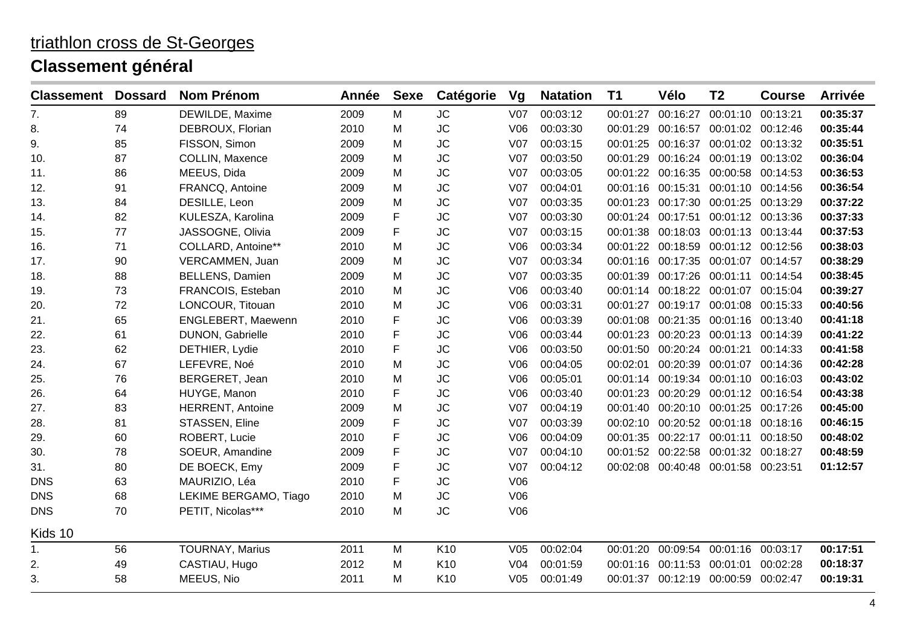| <b>Classement</b> | <b>Dossard</b> | <b>Nom Prénom</b>       | Année | <b>Sexe</b> | Catégorie       | Vg              | <b>Natation</b> | <b>T1</b> | Vélo              | Τ2                | <b>Course</b> | <b>Arrivée</b> |
|-------------------|----------------|-------------------------|-------|-------------|-----------------|-----------------|-----------------|-----------|-------------------|-------------------|---------------|----------------|
| 7.                | 89             | DEWILDE, Maxime         | 2009  | M           | <b>JC</b>       | V07             | 00:03:12        | 00:01:27  | 00:16:27          | 00:01:10          | 00:13:21      | 00:35:37       |
| 8.                | 74             | DEBROUX, Florian        | 2010  | M           | <b>JC</b>       | V06             | 00:03:30        | 00:01:29  | 00:16:57          | 00:01:02 00:12:46 |               | 00:35:44       |
| 9.                | 85             | FISSON, Simon           | 2009  | м           | <b>JC</b>       | V07             | 00:03:15        | 00:01:25  | 00:16:37          | 00:01:02 00:13:32 |               | 00:35:51       |
| 10.               | 87             | <b>COLLIN, Maxence</b>  | 2009  | M           | <b>JC</b>       | V <sub>07</sub> | 00:03:50        | 00:01:29  | 00:16:24          | 00:01:19          | 00:13:02      | 00:36:04       |
| 11.               | 86             | MEEUS, Dida             | 2009  | M           | <b>JC</b>       | <b>V07</b>      | 00:03:05        | 00:01:22  | 00:16:35          | 00:00:58          | 00:14:53      | 00:36:53       |
| 12.               | 91             | FRANCQ, Antoine         | 2009  | M           | <b>JC</b>       | V <sub>07</sub> | 00:04:01        | 00:01:16  | 00:15:31          | 00:01:10 00:14:56 |               | 00:36:54       |
| 13.               | 84             | DESILLE, Leon           | 2009  | M           | <b>JC</b>       | V <sub>07</sub> | 00:03:35        | 00:01:23  | 00:17:30          | 00:01:25          | 00:13:29      | 00:37:22       |
| 14.               | 82             | KULESZA, Karolina       | 2009  | F           | <b>JC</b>       | V07             | 00:03:30        |           | 00:01:24 00:17:51 | 00:01:12 00:13:36 |               | 00:37:33       |
| 15.               | 77             | JASSOGNE, Olivia        | 2009  | F           | <b>JC</b>       | <b>V07</b>      | 00:03:15        | 00:01:38  | 00:18:03          | 00:01:13 00:13:44 |               | 00:37:53       |
| 16.               | 71             | COLLARD, Antoine**      | 2010  | M           | <b>JC</b>       | V06             | 00:03:34        | 00:01:22  | 00:18:59          | 00:01:12 00:12:56 |               | 00:38:03       |
| 17.               | 90             | VERCAMMEN, Juan         | 2009  | M           | <b>JC</b>       | V <sub>07</sub> | 00:03:34        | 00:01:16  | 00:17:35          | 00:01:07          | 00:14:57      | 00:38:29       |
| 18.               | 88             | <b>BELLENS, Damien</b>  | 2009  | м           | <b>JC</b>       | V <sub>07</sub> | 00:03:35        | 00:01:39  | 00:17:26          | 00:01:11          | 00:14:54      | 00:38:45       |
| 19.               | 73             | FRANCOIS, Esteban       | 2010  | M           | <b>JC</b>       | V06             | 00:03:40        |           | 00:01:14 00:18:22 | 00:01:07          | 00:15:04      | 00:39:27       |
| 20.               | 72             | LONCOUR, Titouan        | 2010  | м           | <b>JC</b>       | V06             | 00:03:31        | 00:01:27  | 00:19:17          | 00:01:08          | 00:15:33      | 00:40:56       |
| 21.               | 65             | ENGLEBERT, Maewenn      | 2010  | F           | <b>JC</b>       | V06             | 00:03:39        | 00:01:08  | 00:21:35          | 00:01:16 00:13:40 |               | 00:41:18       |
| 22.               | 61             | DUNON, Gabrielle        | 2010  | F           | <b>JC</b>       | V06             | 00:03:44        | 00:01:23  | 00:20:23          | 00:01:13          | 00:14:39      | 00:41:22       |
| 23.               | 62             | DETHIER, Lydie          | 2010  | F           | <b>JC</b>       | V06             | 00:03:50        | 00:01:50  | 00:20:24          | 00:01:21          | 00:14:33      | 00:41:58       |
| 24.               | 67             | LEFEVRE, Noé            | 2010  | м           | <b>JC</b>       | V06             | 00:04:05        | 00:02:01  | 00:20:39          | 00:01:07          | 00:14:36      | 00:42:28       |
| 25.               | 76             | BERGERET, Jean          | 2010  | м           | <b>JC</b>       | V06             | 00:05:01        |           | 00:01:14 00:19:34 | 00:01:10 00:16:03 |               | 00:43:02       |
| 26.               | 64             | HUYGE, Manon            | 2010  | F           | <b>JC</b>       | V06             | 00:03:40        | 00:01:23  | 00:20:29          | 00:01:12 00:16:54 |               | 00:43:38       |
| 27.               | 83             | <b>HERRENT, Antoine</b> | 2009  | M           | <b>JC</b>       | V <sub>07</sub> | 00:04:19        | 00:01:40  | 00:20:10          | 00:01:25          | 00:17:26      | 00:45:00       |
| 28.               | 81             | STASSEN, Eline          | 2009  | F           | <b>JC</b>       | <b>V07</b>      | 00:03:39        | 00:02:10  | 00:20:52          | 00:01:18          | 00:18:16      | 00:46:15       |
| 29.               | 60             | ROBERT, Lucie           | 2010  | F           | <b>JC</b>       | V06             | 00:04:09        | 00:01:35  | 00:22:17          | 00:01:11          | 00:18:50      | 00:48:02       |
| 30.               | 78             | SOEUR, Amandine         | 2009  | F           | <b>JC</b>       | V <sub>07</sub> | 00:04:10        | 00:01:52  | 00:22:58          | 00:01:32          | 00:18:27      | 00:48:59       |
| 31.               | 80             | DE BOECK, Emy           | 2009  | F           | <b>JC</b>       | <b>V07</b>      | 00:04:12        | 00:02:08  | 00:40:48          | 00:01:58 00:23:51 |               | 01:12:57       |
| <b>DNS</b>        | 63             | MAURIZIO, Léa           | 2010  | F           | <b>JC</b>       | V06             |                 |           |                   |                   |               |                |
| <b>DNS</b>        | 68             | LEKIME BERGAMO, Tiago   | 2010  | M           | <b>JC</b>       | V06             |                 |           |                   |                   |               |                |
| <b>DNS</b>        | 70             | PETIT, Nicolas***       | 2010  | M           | <b>JC</b>       | V06             |                 |           |                   |                   |               |                |
| Kids 10           |                |                         |       |             |                 |                 |                 |           |                   |                   |               |                |
| 1.                | 56             | <b>TOURNAY, Marius</b>  | 2011  | M           | K10             | V <sub>05</sub> | 00:02:04        | 00:01:20  | 00:09:54          | 00:01:16          | 00:03:17      | 00:17:51       |
| 2.                | 49             | CASTIAU, Hugo           | 2012  | M           | K10             | V <sub>04</sub> | 00:01:59        | 00:01:16  | 00:11:53          | 00:01:01          | 00:02:28      | 00:18:37       |
| 3.                | 58             | MEEUS, Nio              | 2011  | м           | K <sub>10</sub> | V <sub>05</sub> | 00:01:49        |           | 00:01:37 00:12:19 | 00:00:59          | 00:02:47      | 00:19:31       |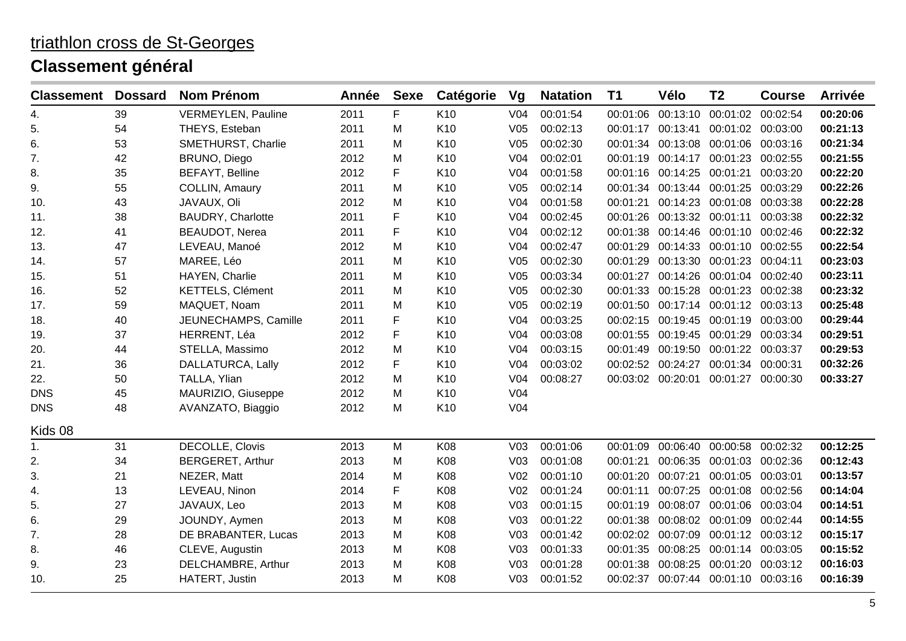| <b>Classement</b> | <b>Dossard</b> | <b>Nom Prénom</b>         | <b>Année</b> | <b>Sexe</b> | Catégorie       | Vg              | <b>Natation</b> | <b>T1</b> | Vélo                                | T <sub>2</sub>    | <b>Course</b> | <b>Arrivée</b> |
|-------------------|----------------|---------------------------|--------------|-------------|-----------------|-----------------|-----------------|-----------|-------------------------------------|-------------------|---------------|----------------|
| 4.                | 39             | <b>VERMEYLEN, Pauline</b> | 2011         | F           | K <sub>10</sub> | V <sub>04</sub> | 00:01:54        | 00:01:06  | 00:13:10                            | 00:01:02          | 00:02:54      | 00:20:06       |
| 5.                | 54             | THEYS, Esteban            | 2011         | M           | K10             | V <sub>05</sub> | 00:02:13        | 00:01:17  | 00:13:41                            | 00:01:02 00:03:00 |               | 00:21:13       |
| 6.                | 53             | SMETHURST, Charlie        | 2011         | M           | K10             | V <sub>05</sub> | 00:02:30        |           | 00:01:34 00:13:08                   | 00:01:06 00:03:16 |               | 00:21:34       |
| 7.                | 42             | BRUNO, Diego              | 2012         | M           | K <sub>10</sub> | V <sub>04</sub> | 00:02:01        | 00:01:19  | 00:14:17                            | 00:01:23          | 00:02:55      | 00:21:55       |
| 8.                | 35             | <b>BEFAYT, Belline</b>    | 2012         | F           | K10             | V <sub>04</sub> | 00:01:58        | 00:01:16  | 00:14:25                            | 00:01:21          | 00:03:20      | 00:22:20       |
| 9.                | 55             | COLLIN, Amaury            | 2011         | M           | K10             | V <sub>05</sub> | 00:02:14        |           | 00:01:34 00:13:44                   | 00:01:25          | 00:03:29      | 00:22:26       |
| 10.               | 43             | JAVAUX, Oli               | 2012         | M           | K <sub>10</sub> | V <sub>04</sub> | 00:01:58        | 00:01:21  | 00:14:23                            | 00:01:08 00:03:38 |               | 00:22:28       |
| 11.               | 38             | <b>BAUDRY, Charlotte</b>  | 2011         | F           | K <sub>10</sub> | V <sub>04</sub> | 00:02:45        | 00:01:26  | 00:13:32 00:01:11 00:03:38          |                   |               | 00:22:32       |
| 12.               | 41             | <b>BEAUDOT, Nerea</b>     | 2011         | F           | K10             | V <sub>04</sub> | 00:02:12        | 00:01:38  | 00:14:46                            | 00:01:10 00:02:46 |               | 00:22:32       |
| 13.               | 47             | LEVEAU, Manoé             | 2012         | м           | K <sub>10</sub> | V <sub>04</sub> | 00:02:47        | 00:01:29  | 00:14:33                            | 00:01:10 00:02:55 |               | 00:22:54       |
| 14.               | 57             | MAREE, Léo                | 2011         | M           | K10             | V <sub>05</sub> | 00:02:30        | 00:01:29  | 00:13:30                            | 00:01:23          | 00:04:11      | 00:23:03       |
| 15.               | 51             | HAYEN, Charlie            | 2011         | M           | K10             | V <sub>05</sub> | 00:03:34        | 00:01:27  | 00:14:26                            | 00:01:04          | 00:02:40      | 00:23:11       |
| 16.               | 52             | <b>KETTELS, Clément</b>   | 2011         | М           | K <sub>10</sub> | V <sub>05</sub> | 00:02:30        | 00:01:33  | 00:15:28                            | 00:01:23 00:02:38 |               | 00:23:32       |
| 17.               | 59             | MAQUET, Noam              | 2011         | м           | K10             | V <sub>05</sub> | 00:02:19        |           | 00:01:50 00:17:14                   | 00:01:12 00:03:13 |               | 00:25:48       |
| 18.               | 40             | JEUNECHAMPS, Camille      | 2011         | F           | K10             | V <sub>04</sub> | 00:03:25        | 00:02:15  | 00:19:45                            | 00:01:19 00:03:00 |               | 00:29:44       |
| 19.               | 37             | HERRENT, Léa              | 2012         | $\mathsf F$ | K10             | V <sub>04</sub> | 00:03:08        | 00:01:55  | 00:19:45                            | 00:01:29          | 00:03:34      | 00:29:51       |
| 20.               | 44             | STELLA, Massimo           | 2012         | M           | K10             | V <sub>04</sub> | 00:03:15        | 00:01:49  | 00:19:50                            | 00:01:22 00:03:37 |               | 00:29:53       |
| 21.               | 36             | DALLATURCA, Lally         | 2012         | F           | K10             | V <sub>04</sub> | 00:03:02        |           | 00:02:52 00:24:27                   | 00:01:34          | 00:00:31      | 00:32:26       |
| 22.               | 50             | TALLA, Ylian              | 2012         | M           | K10             | V <sub>04</sub> | 00:08:27        |           | 00:03:02 00:20:01                   | 00:01:27 00:00:30 |               | 00:33:27       |
| <b>DNS</b>        | 45             | MAURIZIO, Giuseppe        | 2012         | М           | K10             | V04             |                 |           |                                     |                   |               |                |
| <b>DNS</b>        | 48             | AVANZATO, Biaggio         | 2012         | M           | K10             | V <sub>04</sub> |                 |           |                                     |                   |               |                |
| Kids 08           |                |                           |              |             |                 |                 |                 |           |                                     |                   |               |                |
| 1.                | 31             | DECOLLE, Clovis           | 2013         | M           | K08             | V <sub>03</sub> | 00:01:06        | 00:01:09  | 00:06:40                            | 00:00:58          | 00:02:32      | 00:12:25       |
| 2.                | 34             | <b>BERGERET, Arthur</b>   | 2013         | М           | K08             | V <sub>03</sub> | 00:01:08        | 00:01:21  | 00:06:35                            | 00:01:03          | 00:02:36      | 00:12:43       |
| 3.                | 21             | NEZER, Matt               | 2014         | M           | K08             | V <sub>02</sub> | 00:01:10        | 00:01:20  | 00:07:21                            | 00:01:05          | 00:03:01      | 00:13:57       |
| 4.                | 13             | LEVEAU, Ninon             | 2014         | F           | K08             | V <sub>02</sub> | 00:01:24        | 00:01:11  | 00:07:25                            | 00:01:08          | 00:02:56      | 00:14:04       |
| 5.                | 27             | JAVAUX, Leo               | 2013         | M           | K08             | V <sub>03</sub> | 00:01:15        | 00:01:19  | 00:08:07                            | 00:01:06          | 00:03:04      | 00:14:51       |
| 6.                | 29             | JOUNDY, Aymen             | 2013         | M           | K08             | V <sub>03</sub> | 00:01:22        | 00:01:38  | 00:08:02                            | 00:01:09          | 00:02:44      | 00:14:55       |
| 7.                | 28             | DE BRABANTER, Lucas       | 2013         | M           | K08             | V <sub>03</sub> | 00:01:42        | 00:02:02  | 00:07:09                            | 00:01:12 00:03:12 |               | 00:15:17       |
| 8.                | 46             | CLEVE, Augustin           | 2013         | М           | K08             | V <sub>03</sub> | 00:01:33        | 00:01:35  | 00:08:25                            | 00:01:14 00:03:05 |               | 00:15:52       |
| 9.                | 23             | DELCHAMBRE, Arthur        | 2013         | М           | K08             | V <sub>03</sub> | 00:01:28        | 00:01:38  | 00:08:25                            | 00:01:20          | 00:03:12      | 00:16:03       |
| 10.               | 25             | HATERT, Justin            | 2013         | м           | K08             | V <sub>03</sub> | 00:01:52        |           | 00:02:37 00:07:44 00:01:10 00:03:16 |                   |               | 00:16:39       |